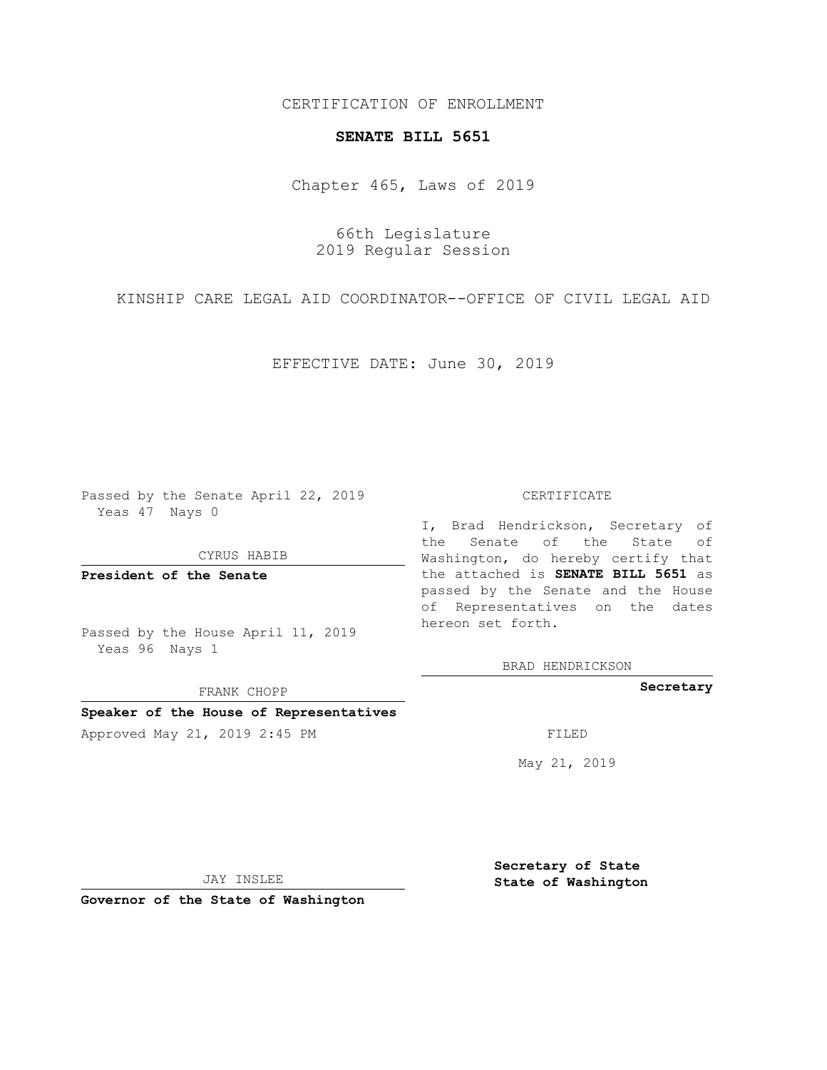## CERTIFICATION OF ENROLLMENT

## **SENATE BILL 5651**

Chapter 465, Laws of 2019

66th Legislature 2019 Regular Session

KINSHIP CARE LEGAL AID COORDINATOR--OFFICE OF CIVIL LEGAL AID

EFFECTIVE DATE: June 30, 2019

Passed by the Senate April 22, 2019 Yeas 47 Nays 0

CYRUS HABIB

**President of the Senate**

Passed by the House April 11, 2019 Yeas 96 Nays 1

FRANK CHOPP

### **Speaker of the House of Representatives**

Approved May 21, 2019 2:45 PM FILED

#### CERTIFICATE

I, Brad Hendrickson, Secretary of the Senate of the State of Washington, do hereby certify that the attached is **SENATE BILL 5651** as passed by the Senate and the House of Representatives on the dates hereon set forth.

BRAD HENDRICKSON

**Secretary**

May 21, 2019

JAY INSLEE

**Governor of the State of Washington**

**Secretary of State State of Washington**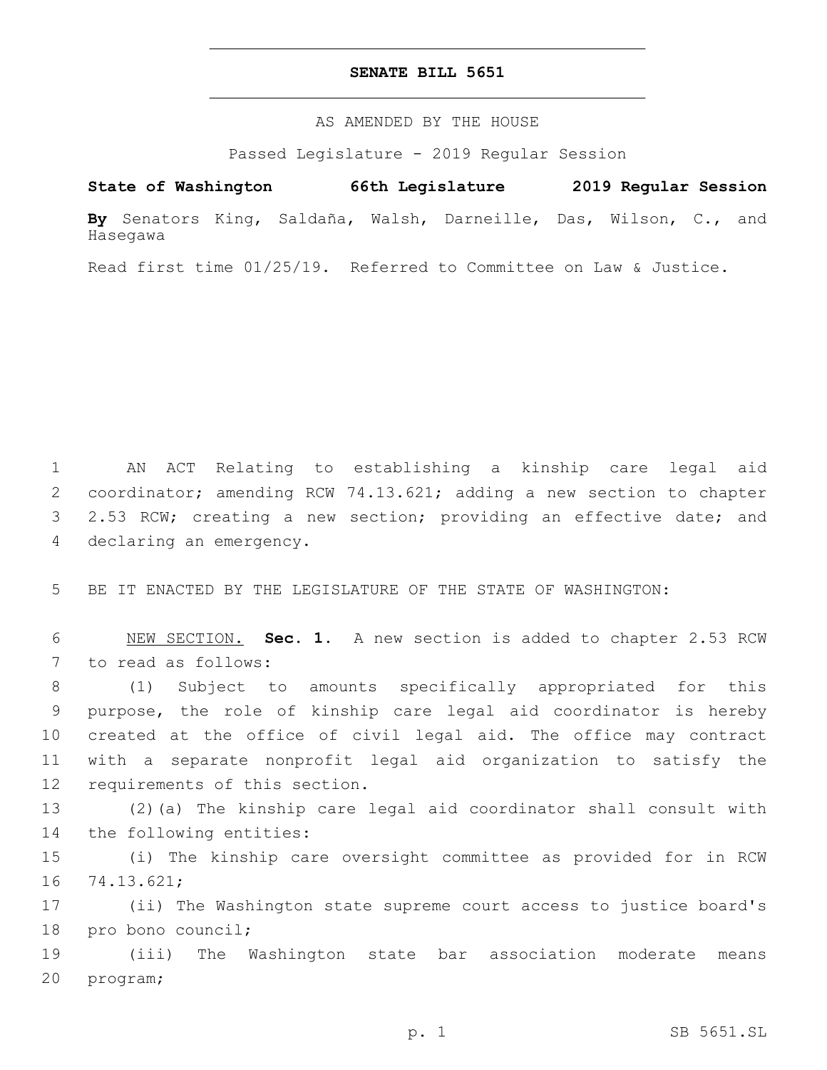## **SENATE BILL 5651**

AS AMENDED BY THE HOUSE

Passed Legislature - 2019 Regular Session

# **State of Washington 66th Legislature 2019 Regular Session**

**By** Senators King, Saldaña, Walsh, Darneille, Das, Wilson, C., and Hasegawa

Read first time 01/25/19. Referred to Committee on Law & Justice.

1 AN ACT Relating to establishing a kinship care legal aid 2 coordinator; amending RCW 74.13.621; adding a new section to chapter 3 2.53 RCW; creating a new section; providing an effective date; and 4 declaring an emergency.

5 BE IT ENACTED BY THE LEGISLATURE OF THE STATE OF WASHINGTON:

6 NEW SECTION. **Sec. 1.** A new section is added to chapter 2.53 RCW 7 to read as follows:

 (1) Subject to amounts specifically appropriated for this purpose, the role of kinship care legal aid coordinator is hereby created at the office of civil legal aid. The office may contract with a separate nonprofit legal aid organization to satisfy the 12 requirements of this section.

13 (2)(a) The kinship care legal aid coordinator shall consult with 14 the following entities:

15 (i) The kinship care oversight committee as provided for in RCW 16 74.13.621;

17 (ii) The Washington state supreme court access to justice board's 18 pro bono council;

19 (iii) The Washington state bar association moderate means 20 program;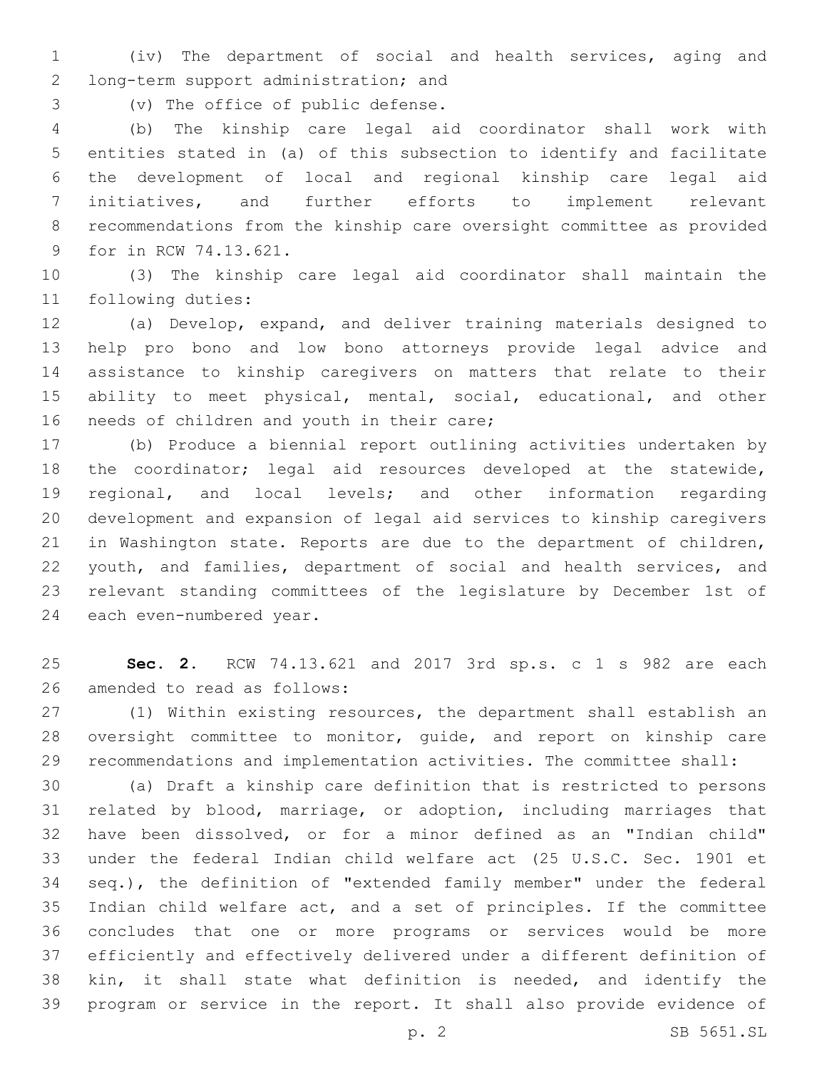(iv) The department of social and health services, aging and 2 long-term support administration; and

3 (v) The office of public defense.

 (b) The kinship care legal aid coordinator shall work with entities stated in (a) of this subsection to identify and facilitate the development of local and regional kinship care legal aid initiatives, and further efforts to implement relevant recommendations from the kinship care oversight committee as provided 9 for in RCW 74.13.621.

 (3) The kinship care legal aid coordinator shall maintain the 11 following duties:

 (a) Develop, expand, and deliver training materials designed to help pro bono and low bono attorneys provide legal advice and assistance to kinship caregivers on matters that relate to their ability to meet physical, mental, social, educational, and other 16 needs of children and youth in their care;

 (b) Produce a biennial report outlining activities undertaken by the coordinator; legal aid resources developed at the statewide, regional, and local levels; and other information regarding development and expansion of legal aid services to kinship caregivers in Washington state. Reports are due to the department of children, youth, and families, department of social and health services, and relevant standing committees of the legislature by December 1st of 24 each even-numbered year.

 **Sec. 2.** RCW 74.13.621 and 2017 3rd sp.s. c 1 s 982 are each 26 amended to read as follows:

 (1) Within existing resources, the department shall establish an oversight committee to monitor, guide, and report on kinship care recommendations and implementation activities. The committee shall:

 (a) Draft a kinship care definition that is restricted to persons related by blood, marriage, or adoption, including marriages that have been dissolved, or for a minor defined as an "Indian child" under the federal Indian child welfare act (25 U.S.C. Sec. 1901 et seq.), the definition of "extended family member" under the federal Indian child welfare act, and a set of principles. If the committee concludes that one or more programs or services would be more efficiently and effectively delivered under a different definition of kin, it shall state what definition is needed, and identify the program or service in the report. It shall also provide evidence of

p. 2 SB 5651.SL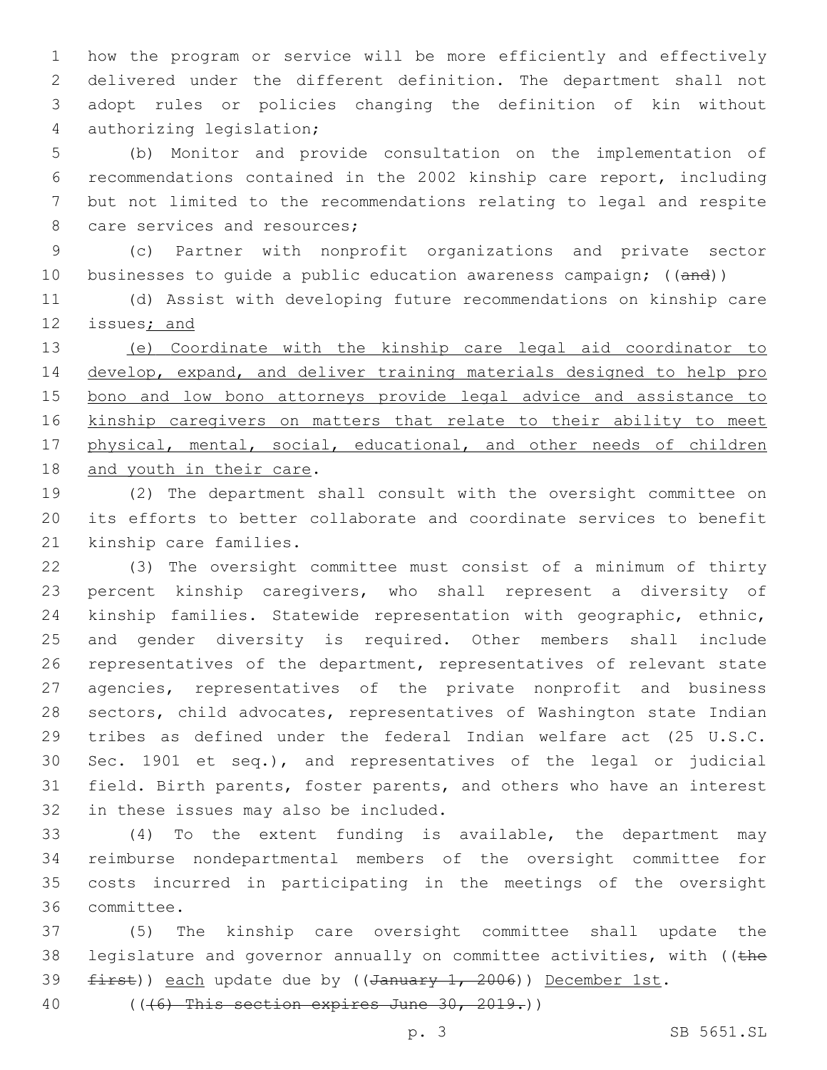how the program or service will be more efficiently and effectively delivered under the different definition. The department shall not adopt rules or policies changing the definition of kin without 4 authorizing legislation;

 (b) Monitor and provide consultation on the implementation of recommendations contained in the 2002 kinship care report, including but not limited to the recommendations relating to legal and respite 8 care services and resources;

 (c) Partner with nonprofit organizations and private sector 10 businesses to quide a public education awareness campaign; ((and))

 (d) Assist with developing future recommendations on kinship care 12 issues; and

 (e) Coordinate with the kinship care legal aid coordinator to develop, expand, and deliver training materials designed to help pro bono and low bono attorneys provide legal advice and assistance to kinship caregivers on matters that relate to their ability to meet 17 physical, mental, social, educational, and other needs of children 18 and youth in their care.

 (2) The department shall consult with the oversight committee on its efforts to better collaborate and coordinate services to benefit 21 kinship care families.

 (3) The oversight committee must consist of a minimum of thirty percent kinship caregivers, who shall represent a diversity of kinship families. Statewide representation with geographic, ethnic, and gender diversity is required. Other members shall include representatives of the department, representatives of relevant state agencies, representatives of the private nonprofit and business sectors, child advocates, representatives of Washington state Indian tribes as defined under the federal Indian welfare act (25 U.S.C. Sec. 1901 et seq.), and representatives of the legal or judicial field. Birth parents, foster parents, and others who have an interest 32 in these issues may also be included.

 (4) To the extent funding is available, the department may reimburse nondepartmental members of the oversight committee for costs incurred in participating in the meetings of the oversight committee.36

 (5) The kinship care oversight committee shall update the 38 legislature and governor annually on committee activities, with (( $t$ he 39 first)) each update due by ((January 1, 2006)) December 1st.

(((6) This section expires June 30, 2019.))